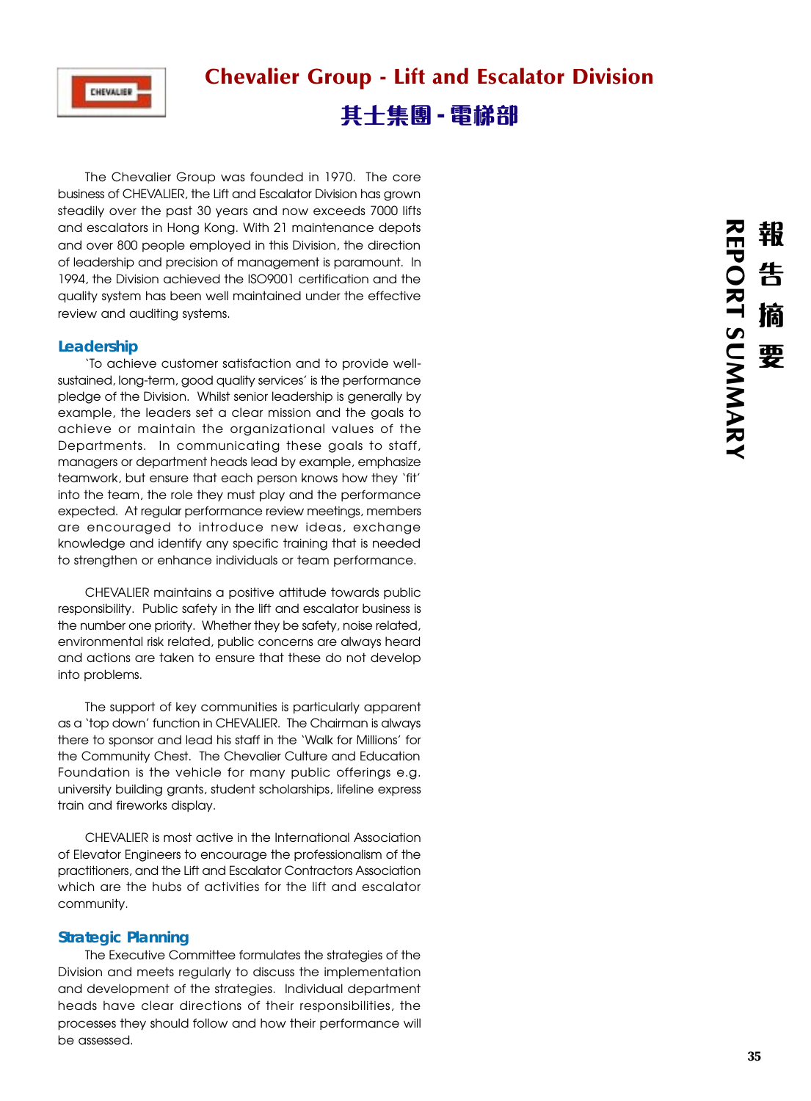

# Chevalier Group - Lift and Escalator Division 其士集團 - 電梯部

The Chevalier Group was founded in 1970. The core business of CHEVALIER, the Lift and Escalator Division has grown steadily over the past 30 years and now exceeds 7000 lifts and escalators in Hong Kong. With 21 maintenance depots and over 800 people employed in this Division, the direction of leadership and precision of management is paramount. In 1994, the Division achieved the ISO9001 certification and the quality system has been well maintained under the effective review and auditing systems.

# **Leadership**

'To achieve customer satisfaction and to provide wellsustained, long-term, good quality services' is the performance pledge of the Division. Whilst senior leadership is generally by example, the leaders set a clear mission and the goals to achieve or maintain the organizational values of the Departments. In communicating these goals to staff, managers or department heads lead by example, emphasize teamwork, but ensure that each person knows how they 'fit' into the team, the role they must play and the performance expected. At regular performance review meetings, members are encouraged to introduce new ideas, exchange knowledge and identify any specific training that is needed to strengthen or enhance individuals or team performance.

CHEVALIER maintains a positive attitude towards public responsibility. Public safety in the lift and escalator business is the number one priority. Whether they be safety, noise related, environmental risk related, public concerns are always heard and actions are taken to ensure that these do not develop into problems.

The support of key communities is particularly apparent as a 'top down' function in CHEVALIER. The Chairman is always there to sponsor and lead his staff in the 'Walk for Millions' for the Community Chest. The Chevalier Culture and Education Foundation is the vehicle for many public offerings e.g. university building grants, student scholarships, lifeline express train and fireworks display.

CHEVALIER is most active in the International Association of Elevator Engineers to encourage the professionalism of the practitioners, and the Lift and Escalator Contractors Association which are the hubs of activities for the lift and escalator community.

# **Strategic Planning**

The Executive Committee formulates the strategies of the Division and meets regularly to discuss the implementation and development of the strategies. Individual department heads have clear directions of their responsibilities, the processes they should follow and how their performance will be assessed.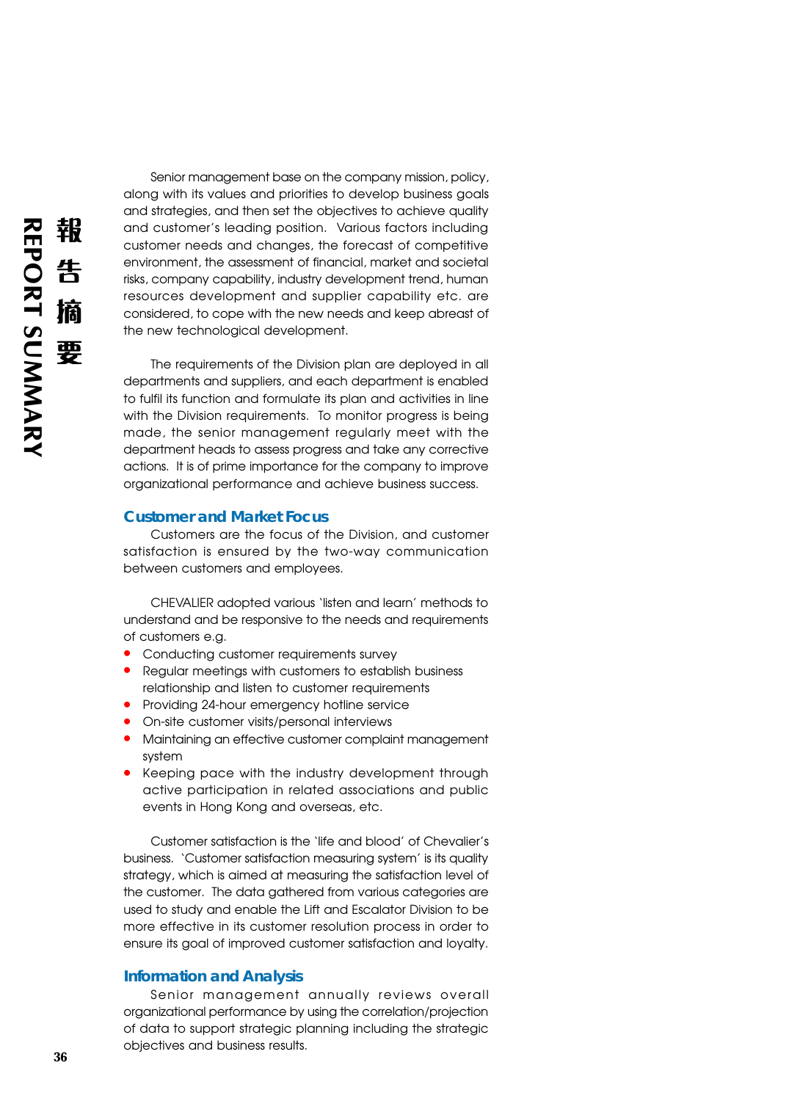Senior management base on the company mission, policy, along with its values and priorities to develop business goals and strategies, and then set the objectives to achieve quality and customer's leading position. Various factors including customer needs and changes, the forecast of competitive environment, the assessment of financial, market and societal risks, company capability, industry development trend, human resources development and supplier capability etc. are considered, to cope with the new needs and keep abreast of the new technological development.

The requirements of the Division plan are deployed in all departments and suppliers, and each department is enabled to fulfil its function and formulate its plan and activities in line with the Division requirements. To monitor progress is being made, the senior management regularly meet with the department heads to assess progress and take any corrective actions. It is of prime importance for the company to improve organizational performance and achieve business success.

### **Customer and Market Focus**

Customers are the focus of the Division, and customer satisfaction is ensured by the two-way communication between customers and employees.

CHEVALIER adopted various 'listen and learn' methods to understand and be responsive to the needs and requirements of customers e.g.

- **•** Conducting customer requirements survey
- **•** Regular meetings with customers to establish business relationship and listen to customer requirements
- **•** Providing 24-hour emergency hotline service
- On-site customer visits/personal interviews<br>• Maintaining an effective customer complai
- **•** Maintaining an effective customer complaint management system
- **•** Keeping pace with the industry development through active participation in related associations and public events in Hong Kong and overseas, etc.

Customer satisfaction is the 'life and blood' of Chevalier's business. 'Customer satisfaction measuring system' is its quality strategy, which is aimed at measuring the satisfaction level of the customer. The data gathered from various categories are used to study and enable the Lift and Escalator Division to be more effective in its customer resolution process in order to ensure its goal of improved customer satisfaction and loyalty.

## **Information and Analysis**

Senior management annually reviews overall organizational performance by using the correlation/projection of data to support strategic planning including the strategic objectives and business results.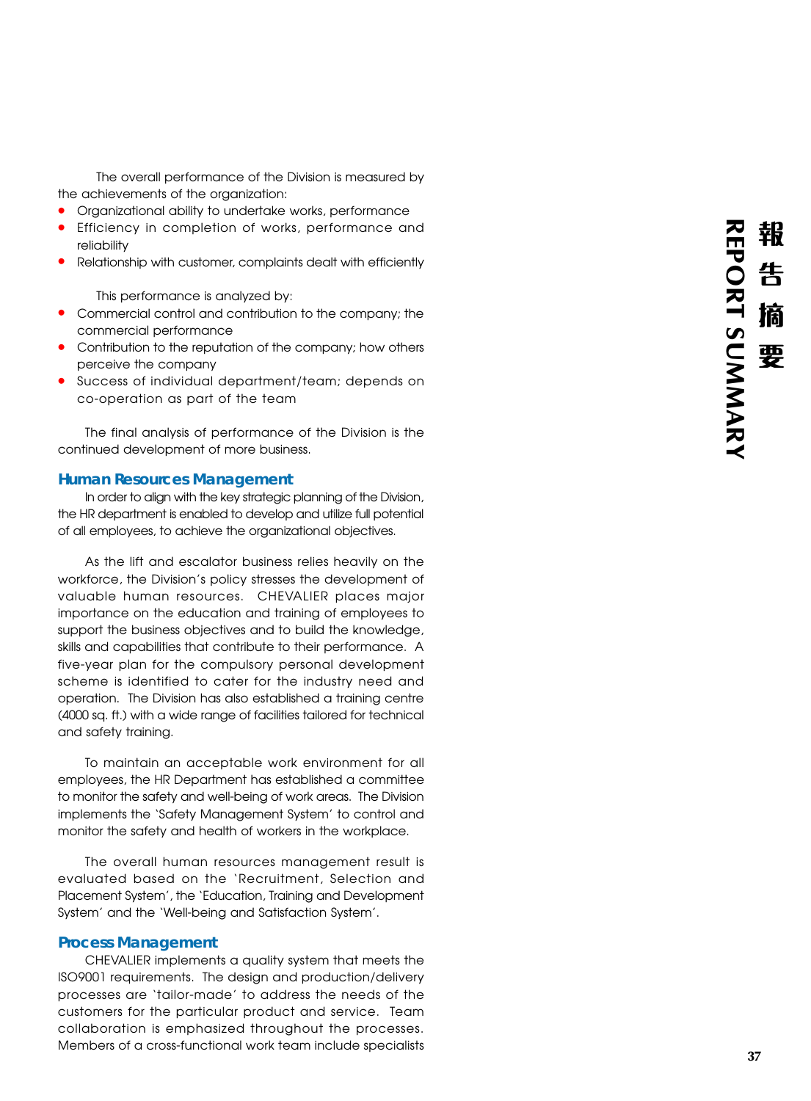The overall performance of the Division is measured by

- the achievements of the organization: **•** Organizational ability to undertake works, performance **•** Efficiency in completion of works, performance and
- reliability
- **•** Relationship with customer, complaints dealt with efficiently

This performance is analyzed by:

- **•** Commercial control and contribution to the company; the commercial performance
- **•** Contribution to the reputation of the company; how others perceive the company
- **•** Success of individual department/team; depends on co-operation as part of the team

The final analysis of performance of the Division is the continued development of more business.

### **Human Resources Management**

In order to align with the key strategic planning of the Division, the HR department is enabled to develop and utilize full potential of all employees, to achieve the organizational objectives.

As the lift and escalator business relies heavily on the workforce, the Division's policy stresses the development of valuable human resources. CHEVALIER places major importance on the education and training of employees to support the business objectives and to build the knowledge, skills and capabilities that contribute to their performance. A five-year plan for the compulsory personal development scheme is identified to cater for the industry need and operation. The Division has also established a training centre (4000 sq. ft.) with a wide range of facilities tailored for technical and safety training.

To maintain an acceptable work environment for all employees, the HR Department has established a committee to monitor the safety and well-being of work areas. The Division implements the 'Safety Management System' to control and monitor the safety and health of workers in the workplace.

The overall human resources management result is evaluated based on the 'Recruitment, Selection and Placement System', the 'Education, Training and Development System' and the 'Well-being and Satisfaction System'.

#### **Process Management**

CHEVALIER implements a quality system that meets the ISO9001 requirements. The design and production/delivery processes are 'tailor-made' to address the needs of the customers for the particular product and service. Team collaboration is emphasized throughout the processes. Members of a cross-functional work team include specialists